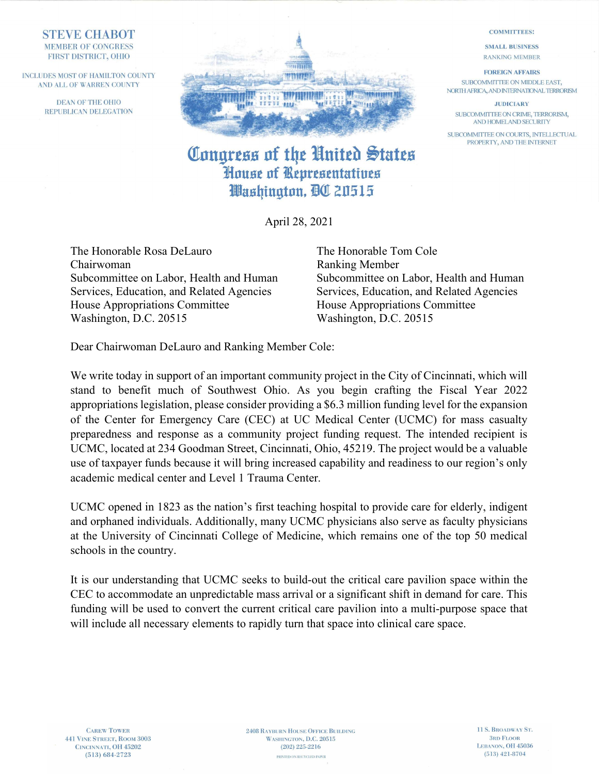## **STEVE CHABOT MEMBER OF CONGRESS** FIRST DISTRICT, OHIO

INCLUDES MOST OF HAMILTON COUNTY AND ALL OF WARREN COUNTY

> DEAN OF THE OHIO REPUBLICAN DELEGATION



## Congress of the United States House of Representatives Washinaton, DC 20515

April 28, 2021

The Honorable Rosa DeLauro The Honorable Tom Cole Chairwoman Ranking Member Subcommittee on Labor, Health and Human Subcommittee on Labor, Health and Human Services, Education, and Related Agencies Services, Education, and Related Agencies House Appropriations Committee House Appropriations Committee Washington, D.C. 20515 Washington, D.C. 20515

Dear Chairwoman DeLauro and Ranking Member Cole:

We write today in support of an important community project in the City of Cincinnati, which will stand to benefit much of Southwest Ohio. As you begin crafting the Fiscal Year 2022 appropriations legislation, please consider providing a \$6.3 million funding level for the expansion of the Center for Emergency Care (CEC) at UC Medical Center (UCMC) for mass casualty preparedness and response as a community project funding request. The intended recipient is UCMC, located at 234 Goodman Street, Cincinnati, Ohio, 45219. The project would be a valuable use of taxpayer funds because it will bring increased capability and readiness to our region's only academic medical center and Level 1 Trauma Center.

UCMC opened in 1823 as the nation's first teaching hospital to provide care for elderly, indigent and orphaned individuals. Additionally, many UCMC physicians also serve as faculty physicians at the University of Cincinnati College of Medicine, which remains one of the top 50 medical schools in the country.

It is our understanding that UCMC seeks to build-out the critical care pavilion space within the CEC to accommodate an unpredictable mass arrival or a significant shift in demand for care. This funding will be used to convert the current critical care pavilion into a multi-purpose space that will include all necessary elements to rapidly turn that space into clinical care space.

**CAREW TOWER** 441 VINE STREET, ROOM 3003 CINCINNATI, OH 45202  $(513) 684 - 2723$ 

**2408 RAYBURN HOUSE OFFICE BUILDING** WASHINGTON, D.C. 20515  $(202)$  225-2216 PRINTED ON RECYCLED PAPER

**COMMITTEES:** 

**SMALL BUSINESS RANKING MEMBER** 

**FOREIGN AFFAIRS** SUBCOMMITTEE ON MIDDLE EAST, NORTH AFRICA, AND INTERNATIONAL TERRORISM

**JUDICIARY** SUBCOMMITTEE ON CRIME, TERRORISM, AND HOMELAND SECURITY

SUBCOMMITTEE ON COURTS, INTELLECTUAL PROPERTY, AND THE INTERNET

> 11 S. BROADWAY ST. **3RD FLOOR** LEBANON, OH 45036  $(513)$  421-8704